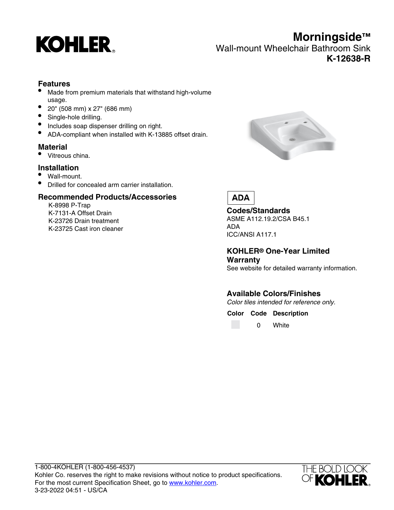

Wall-mount Wheelchair Bathroom Sink **K-12638-R**

#### **Features**

- Made from premium materials that withstand high-volume usage.
- 20" (508 mm) x 27" (686 mm)
- Single-hole drilling.
- Includes soap dispenser drilling on right.
- ADA-compliant when installed with K-13885 offset drain.

#### **Material**

Vitreous china.

#### **Installation**

- Wall-mount.
- Drilled for concealed arm carrier installation.

#### **Recommended Products/Accessories**

K-8998 P-Trap K-7131-A Offset Drain K-23726 Drain treatment K-23725 Cast iron cleaner



## **ADA**

**Codes/Standards** ASME A112.19.2/CSA B45.1 ADA ICC/ANSI A117.1

#### **KOHLER® One-Year Limited Warranty**

See website for detailed warranty information.

## **Available Colors/Finishes**

Color tiles intended for reference only.

**Color Code Description**

0 White